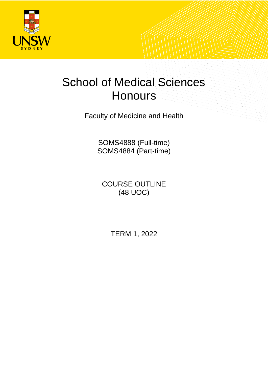

# <span id="page-0-0"></span>School of Medical Sciences **Honours**

Faculty of Medicine and Health

SOMS4888 (Full-time) SOMS4884 (Part-time)

COURSE OUTLINE (48 UOC)

TERM 1, 2022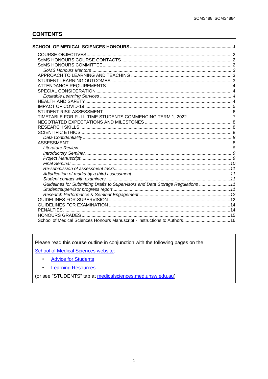# **CONTENTS**

| TIMETABLE FOR FULL-TIME STUDENTS COMMENCING TERM 1, 20227                        |  |
|----------------------------------------------------------------------------------|--|
|                                                                                  |  |
|                                                                                  |  |
|                                                                                  |  |
|                                                                                  |  |
|                                                                                  |  |
|                                                                                  |  |
|                                                                                  |  |
|                                                                                  |  |
|                                                                                  |  |
|                                                                                  |  |
|                                                                                  |  |
|                                                                                  |  |
| Guidelines for Submitting Drafts to Supervisors and Data Storage Regulations  11 |  |
|                                                                                  |  |
|                                                                                  |  |
|                                                                                  |  |
|                                                                                  |  |
|                                                                                  |  |
|                                                                                  |  |
|                                                                                  |  |

Please read this course outline in conjunction with the following pages on the

**School of Medical Sciences website:** 

- **Advice for Students**  $\bullet$
- **Learning Resources**  $\bullet$

(or see "STUDENTS" tab at medicalsciences.med.unsw.edu.au)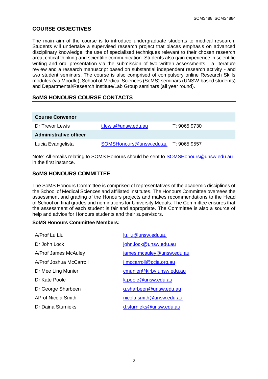# <span id="page-2-0"></span>**COURSE OBJECTIVES**

The main aim of the course is to introduce undergraduate students to medical research. Students will undertake a supervised research project that places emphasis on advanced disciplinary knowledge, the use of specialised techniques relevant to their chosen research area, critical thinking and scientific communication. Students also gain experience in scientific writing and oral presentation via the submission of two written assessments - a literature review and a research manuscript based on substantial independent research activity - and two student seminars. The course is also comprised of compulsory online Research Skills modules (via Moodle), School of Medical Sciences (SoMS) seminars (UNSW-based students) and Departmental/Research Institute/Lab Group seminars (all year round).

# <span id="page-2-1"></span>**SoMS HONOURS COURSE CONTACTS**

| <b>Course Convenor</b>        |                                      |              |
|-------------------------------|--------------------------------------|--------------|
| Dr Trevor Lewis               | t.lewis@unsw.edu.au                  | T: 9065 9730 |
| <b>Administrative officer</b> |                                      |              |
| Lucia Evangelista             | SOMSHonours@unsw.edu.au T: 9065 9557 |              |

Note: All emails relating to SOMS Honours should be sent to [SOMSHonours@unsw.edu.au](mailto:SOMSHonours@unsw.edu.au) in the first instance.

# <span id="page-2-2"></span>**SoMS HONOURS COMMITTEE**

The SoMS Honours Committee is comprised of representatives of the academic disciplines of the School of Medical Sciences and affiliated institutes. The Honours Committee oversees the assessment and grading of the Honours projects and makes recommendations to the Head of School on final grades and nominations for University Medals. The Committee ensures that the assessment of each student is fair and appropriate. The Committee is also a source of help and advice for Honours students and their supervisors.

### **SoMS Honours Committee Members:**

| A/Prof Lu Liu           | lu.liu@unsw.edu.au        |
|-------------------------|---------------------------|
| Dr John Lock            | john.lock@unsw.edu.au     |
| A/Prof James McAuley    | james.mcauley@unsw.edu.au |
| A/Prof Joshua McCarroll | i.mccarroll@ccia.org.au   |
| Dr Mee Ling Munier      | cmunier@kirby.unsw.edu.au |
| Dr Kate Poole           | k.poole@unsw.edu.au       |
| Dr George Sharbeen      | g.sharbeen@unsw.edu.au    |
| AProf Nicola Smith      | nicola.smith@unsw.edu.au  |
| Dr Daina Sturnieks      | d.sturnieks@unsw.edu.au   |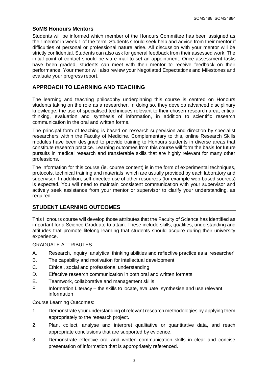# <span id="page-3-0"></span>**SoMS Honours Mentors**

Students will be informed which member of the Honours Committee has been assigned as their mentor in week 1 of the term. Students should seek help and advice from their mentor if difficulties of personal or professional nature arise. All discussion with your mentor will be strictly confidential. Students can also ask for general feedback from their assessed work. The initial point of contact should be via e-mail to set an appointment. Once assessment tasks have been graded, students can meet with their mentor to receive feedback on their performance. Your mentor will also review your Negotiated Expectations and Milestones and evaluate your progress report.

# <span id="page-3-1"></span>**APPROACH TO LEARNING AND TEACHING**

The learning and teaching philosophy underpinning this course is centred on Honours students taking on the role as a researcher. In doing so, they develop advanced disciplinary knowledge, the use of specialised techniques relevant to their chosen research area, critical thinking, evaluation and synthesis of information, in addition to scientific research communication in the oral and written forms.

The principal form of teaching is based on research supervision and direction by specialist researchers within the Faculty of Medicine. Complementary to this, online Research Skills modules have been designed to provide training to Honours students in diverse areas that constitute research practice. Learning outcomes from this course will form the basis for future pursuits in medical research and transferable skills that are highly relevant for many other professions.

The information for this course (ie. course content) is in the form of experimental techniques, protocols, technical training and materials, which are usually provided by each laboratory and supervisor. In addition, self-directed use of other resources (for example web-based sources) is expected. You will need to maintain consistent communication with your supervisor and actively seek assistance from your mentor or supervisor to clarify your understanding, as required.

# <span id="page-3-2"></span>**STUDENT LEARNING OUTCOMES**

This Honours course will develop those attributes that the Faculty of Science has identified as important for a Science Graduate to attain. These include skills, qualities, understanding and attitudes that promote lifelong learning that students should acquire during their university experience.

GRADUATE ATTRIBUTES

- A. Research, inquiry, analytical thinking abilities and reflective practice as a 'researcher'
- B. The capability and motivation for intellectual development
- C. Ethical, social and professional understanding
- D. Effective research communication in both oral and written formats
- E. Teamwork, collaborative and management skills
- F. Information Literacy the skills to locate, evaluate, synthesise and use relevant information

Course Learning Outcomes:

- 1. Demonstrate your understanding of relevant research methodologies by applying them appropriately to the research project.
- 2. Plan, collect, analyse and interpret qualitative or quantitative data, and reach appropriate conclusions that are supported by evidence.
- 3. Demonstrate effective oral and written communication skills in clear and concise presentation of information that is appropriately referenced.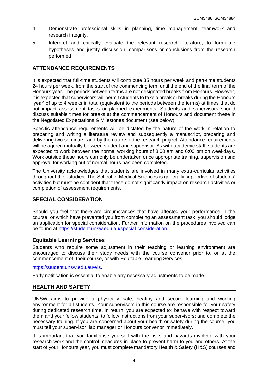- 4. Demonstrate professional skills in planning, time management, teamwork and research integrity.
- 5. Interpret and critically evaluate the relevant research literature, to formulate hypotheses and justify discussion, comparisons or conclusions from the research performed.

# <span id="page-4-0"></span>**ATTENDANCE REQUIREMENTS**

It is expected that full-time students will contribute 35 hours per week and part-time students 24 hours per week, from the start of the commencing term until the end of the final term of the Honours year. The periods between terms are not designated breaks from Honours. However, it is expected that supervisors will permit students to take a break or breaks during the Honours 'year' of up to 4 weeks in total (equivalent to the periods between the terms) at times that do not impact assessment tasks or planned experiments. Students and supervisors should discuss suitable times for breaks at the commencement of Honours and document these in the Negotiated Expectations & Milestones document (see below).

Specific attendance requirements will be dictated by the nature of the work in relation to preparing and writing a literature review and subsequently a manuscript, preparing and delivering two seminars, and by the nature of the research project. Attendance requirements will be agreed mutually between student and supervisor. As with academic staff, students are expected to work between the normal working hours of 8:00 am and 6:00 pm on weekdays. Work outside these hours can only be undertaken once appropriate training, supervision and approval for working out of normal hours has been completed.

The University acknowledges that students are involved in many extra-curricular activities throughout their studies. The School of Medical Sciences is generally supportive of students' activities but must be confident that these do not significantly impact on research activities or completion of assessment requirements.

# <span id="page-4-1"></span>**SPECIAL CONSIDERATION**

Should you feel that there are circumstances that have affected your performance in the course, or which have prevented you from completing an assessment task, you should lodge an application for special consideration. Further information on the procedures involved can be found at [https://student.unsw.edu.au/special-consideration.](https://student.unsw.edu.au/special-consideration)

# <span id="page-4-2"></span>**Equitable Learning Services**

Students who require some adjustment in their teaching or learning environment are encouraged to discuss their study needs with the course convenor prior to, or at the commencement of, their course, or with Equitable Learning Services.

### [https://student.unsw.edu.au/els.](https://student.unsw.edu.au/els)

Early notification is essential to enable any necessary adjustments to be made.

# <span id="page-4-3"></span>**HEALTH AND SAFETY**

UNSW aims to provide a physically safe, healthy and secure learning and working environment for all students. Your supervisors in this course are responsible for your safety during dedicated research time. In return, you are expected to: behave with respect toward them and your fellow students; to follow instructions from your supervisors; and complete the necessary training. If you are concerned about your health or safety during the course, you must tell your supervisor, lab manager or Honours convenor immediately.

It is important that you familiarise yourself with the risks and hazards involved with your research work and the control measures in place to prevent harm to you and others. At the start of your Honours year, you must complete mandatory Health & Safety (H&S) courses and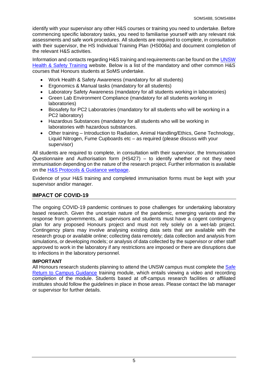identify with your supervisor any other H&S courses or training you need to undertake. Before commencing specific laboratory tasks, you need to familiarise yourself with any relevant risk assessments and safe work procedures. All students are required to complete, in consultation with their supervisor, the HS Individual Training Plan (HS006a) and document completion of the relevant H&S activities.

Information and contacts regarding H&S training and requirements can be found on the [UNSW](http://safety.unsw.edu.au/Training/student-training)  [Health & Safety Training](http://safety.unsw.edu.au/Training/student-training) website. Below is a list of the mandatory and other common H&S courses that Honours students at SoMS undertake.

- Work Health & Safety Awareness (mandatory for all students)
- Ergonomics & Manual tasks (mandatory for all students)
- Laboratory Safety Awareness (mandatory for all students working in laboratories)
- Green Lab Environment Compliance (mandatory for all students working in laboratories)
- Biosafety for PC2 Laboratories (mandatory for all students who will be working in a PC2 laboratory)
- Hazardous Substances (mandatory for all students who will be working in laboratories with hazardous substances.
- Other training Introduction to Radiation, Animal Handling/Ethics, Gene Technology, Liquid Nitrogen, Fume Cupboards etc – as required (please discuss with your supervisor)

All students are required to complete, in consultation with their supervisor, the Immunisation Questionnaire and Authorisation form (HS427) – to identify whether or not they need immunisation depending on the nature of the research project. Further information is available on the H&S Protocols [& Guidance webpage.](https://medicalsciences.med.unsw.edu.au/staff/health-safety/protocols-and-guidance)

Evidence of your H&S training and completed immunisation forms must be kept with your supervisor and/or manager.

# <span id="page-5-0"></span>**IMPACT OF COVID-19**

The ongoing COVID-19 pandemic continues to pose challenges for undertaking laboratory based research. Given the uncertain nature of the pandemic, emerging variants and the response from governments, all supervisors and students must have a cogent contingency plan for any proposed Honours project and must not rely solely on a wet-lab project. Contingency plans may involve analysing existing data sets that are available with the research group or available online; collecting data remotely; data collection and analysis from simulations, or developing models; or analysis of data collected by the supervisor or other staff approved to work in the laboratory if any restrictions are imposed or there are disruptions due to infections in the laboratory personnel.

# **IMPORTANT**

All Honours research students planning to attend the UNSW campus must complete the Safe [Return to Campus Guidance](https://www.covid-19.unsw.edu.au/safe-return-campus-hdr-candidates-and-honours-research-students) training module, which entails viewing a video and recording completion of the module. Students based at off-campus research facilities or affiliated institutes should follow the guidelines in place in those areas. Please contact the lab manager or supervisor for further details.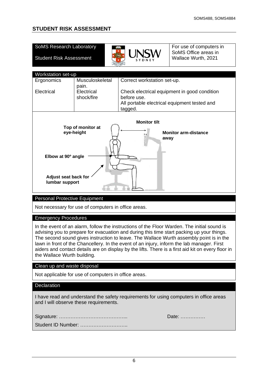# <span id="page-6-0"></span>**STUDENT RISK ASSESSMENT**

| <b>SoMS Research Laboratory</b><br><b>Student Risk Assessment</b>                                                                                                                                                                                                                                                                                                                                                                                                                                                      |                          |                                                         | For use of computers in<br>SoMS Office areas in<br>Wallace Wurth, 2021 |  |
|------------------------------------------------------------------------------------------------------------------------------------------------------------------------------------------------------------------------------------------------------------------------------------------------------------------------------------------------------------------------------------------------------------------------------------------------------------------------------------------------------------------------|--------------------------|---------------------------------------------------------|------------------------------------------------------------------------|--|
|                                                                                                                                                                                                                                                                                                                                                                                                                                                                                                                        |                          |                                                         |                                                                        |  |
| Workstation set-up<br>Ergonomics                                                                                                                                                                                                                                                                                                                                                                                                                                                                                       | Musculoskeletal          | Correct workstation set-up.                             |                                                                        |  |
|                                                                                                                                                                                                                                                                                                                                                                                                                                                                                                                        | pain.                    |                                                         |                                                                        |  |
| Electrical                                                                                                                                                                                                                                                                                                                                                                                                                                                                                                             | Electrical<br>shock/fire | before use.                                             | Check electrical equipment in good condition                           |  |
|                                                                                                                                                                                                                                                                                                                                                                                                                                                                                                                        |                          | All portable electrical equipment tested and<br>tagged. |                                                                        |  |
| <b>Monitor tilt</b><br>Top of monitor at<br>eye-height<br><b>Monitor arm-distance</b><br>away<br>Elbow at 90° angle<br><b>Adjust seat back for</b><br>lumbar support                                                                                                                                                                                                                                                                                                                                                   |                          |                                                         |                                                                        |  |
| <b>Personal Protective Equipment</b>                                                                                                                                                                                                                                                                                                                                                                                                                                                                                   |                          |                                                         |                                                                        |  |
| Not necessary for use of computers in office areas.                                                                                                                                                                                                                                                                                                                                                                                                                                                                    |                          |                                                         |                                                                        |  |
| <b>Emergency Procedures</b>                                                                                                                                                                                                                                                                                                                                                                                                                                                                                            |                          |                                                         |                                                                        |  |
| In the event of an alarm, follow the instructions of the Floor Warden. The initial sound is<br>advising you to prepare for evacuation and during this time start packing up your things.<br>The second sound gives instruction to leave. The Wallace Wurth assembly point is in the<br>lawn in front of the Chancellery. In the event of an injury, inform the lab manager. First<br>aiders and contact details are on display by the lifts. There is a first aid kit on every floor in<br>the Wallace Wurth building. |                          |                                                         |                                                                        |  |
| Clean up and waste disposal                                                                                                                                                                                                                                                                                                                                                                                                                                                                                            |                          |                                                         |                                                                        |  |
| Not applicable for use of computers in office areas.                                                                                                                                                                                                                                                                                                                                                                                                                                                                   |                          |                                                         |                                                                        |  |
| Declaration                                                                                                                                                                                                                                                                                                                                                                                                                                                                                                            |                          |                                                         |                                                                        |  |
| I have read and understand the safety requirements for using computers in office areas<br>and I will observe these requirements.                                                                                                                                                                                                                                                                                                                                                                                       |                          |                                                         |                                                                        |  |
| Date:                                                                                                                                                                                                                                                                                                                                                                                                                                                                                                                  |                          |                                                         |                                                                        |  |
|                                                                                                                                                                                                                                                                                                                                                                                                                                                                                                                        | Student ID Number:       |                                                         |                                                                        |  |
|                                                                                                                                                                                                                                                                                                                                                                                                                                                                                                                        |                          |                                                         |                                                                        |  |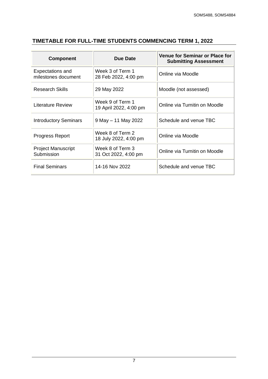| <b>Component</b>                               | <b>Due Date</b>                            | <b>Venue for Seminar or Place for</b><br><b>Submitting Assessment</b> |
|------------------------------------------------|--------------------------------------------|-----------------------------------------------------------------------|
| <b>Expectations and</b><br>milestones document | Week 3 of Term 1<br>28 Feb 2022, 4:00 pm   | Online via Moodle                                                     |
| <b>Research Skills</b>                         | 29 May 2022                                | Moodle (not assessed)                                                 |
| <b>Literature Review</b>                       | Week 9 of Term 1<br>19 April 2022, 4:00 pm | Online via Turnitin on Moodle                                         |
| <b>Introductory Seminars</b>                   | $9$ May $-11$ May 2022                     | Schedule and venue TBC                                                |
| <b>Progress Report</b>                         | Week 8 of Term 2<br>18 July 2022, 4:00 pm  | Online via Moodle                                                     |
| <b>Project Manuscript</b><br>Submission        | Week 8 of Term 3<br>31 Oct 2022, 4:00 pm   | Online via Turnitin on Moodle                                         |
| <b>Final Seminars</b>                          | 14-16 Nov 2022                             | Schedule and venue TBC                                                |

# <span id="page-7-0"></span>**TIMETABLE FOR FULL-TIME STUDENTS COMMENCING TERM 1, 2022**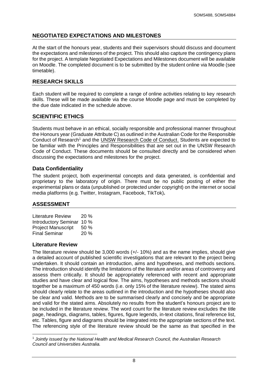# <span id="page-8-0"></span>**NEGOTIATED EXPECTATIONS AND MILESTONES**

At the start of the honours year, students and their supervisors should discuss and document the expectations and milestones of the project. This should also capture the contingency plans for the project. A template Negotiated Expectations and Milestones document will be available on Moodle. The completed document is to be submitted by the student online via Moodle (see timetable).

# <span id="page-8-1"></span>**RESEARCH SKILLS**

Each student will be required to complete a range of online activities relating to key research skills. These will be made available via the course Moodle page and must be completed by the due date indicated in the schedule above.

# <span id="page-8-2"></span>**SCIENTIFIC ETHICS**

Students must behave in an ethical, socially responsible and professional manner throughout the Honours year (Graduate Attribute C) as outlined in the Australian Code for the Responsible Conduct of Research<sup>1</sup> and the [UNSW Research Code of Conduct.](https://research.unsw.edu.au/responsible-conduct-research) Students are expected to be familiar with the Principles and Responsibilities that are set out in the UNSW Research Code of Conduct. These documents should be consulted directly and be considered when discussing the expectations and milestones for the project.

# <span id="page-8-3"></span>**Data Confidentiality**

The student project, both experimental concepts and data generated, is confidential and proprietary to the laboratory of origin. There must be no public posting of either the experimental plans or data (unpublished or protected under copyright) on the internet or social media platforms (e.g. Twitter, Instagram, Facebook, TikTok)**.**

# <span id="page-8-4"></span>**ASSESSMENT**

| <b>Literature Review</b>  | 20% |
|---------------------------|-----|
| Introductory Seminar 10 % |     |
| <b>Project Manuscript</b> | 50% |
| <b>Final Seminar</b>      | 20% |

# <span id="page-8-5"></span>**Literature Review**

The literature review should be 3,000 words (+/- 10%) and as the name implies, should give a detailed account of published scientific investigations that are relevant to the project being undertaken. It should contain an introduction, aims and hypotheses, and methods sections. The introduction should identify the limitations of the literature and/or areas of controversy and assess them critically. It should be appropriately referenced with recent and appropriate studies and have clear and logical flow. The aims, hypotheses and methods sections should together be a maximum of 450 words (i.e. only 15% of the literature review). The stated aims should clearly relate to the areas outlined in the introduction and the hypotheses should also be clear and valid. Methods are to be summarised clearly and concisely and be appropriate and valid for the stated aims. Absolutely no results from the student's honours project are to be included in the literature review. The word count for the literature review excludes the title page, headings, diagrams, tables, figures, figure legends, in-text citations, final reference list, etc. Tables, figure and diagrams should be integrated into the appropriate sections of the text. The referencing style of the literature review should be the same as that specified in the

<sup>1</sup> *Jointly issued by the National Health and Medical Research Council, the Australian Research Council and Universities Australia.*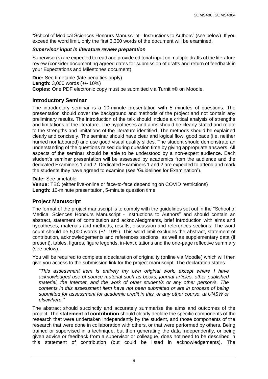"School of Medical Sciences Honours Manuscript - Instructions to Authors" (see below). If you exceed the word limit, only the first 3,300 words of the document will be examined.

# *Supervisor input in literature review preparation*

Supervisor(s) are expected to read and provide editorial input on multiple drafts of the literature review (consider documenting agreed dates for submission of drafts and return of feedback in your Expectations and Milestones document).

**Due:** See timetable (late penalties apply) **Length:** 3,000 words (+/- 10%) **Copies:** One PDF electronic copy must be submitted via Turnitin© on Moodle.

# <span id="page-9-0"></span>**Introductory Seminar**

The introductory seminar is a 10-minute presentation with 5 minutes of questions. The presentation should cover the background and methods of the project and not contain any preliminary results. The introduction of the talk should include a critical analysis of strengths and limitations of the literature. The hypotheses and aims should be clearly stated and relate to the strengths and limitations of the literature identified. The methods should be explained clearly and concisely. The seminar should have clear and logical flow, good pace (i.e. neither hurried nor laboured) and use good visual quality slides. The student should demonstrate an understanding of the questions raised during question time by giving appropriate answers. All aspects of the seminar should be able to be understood by a non-expert audience. Each student's seminar presentation will be assessed by academics from the audience and the dedicated Examiners 1 and 2. Dedicated Examiners 1 and 2 are expected to attend and mark the students they have agreed to examine (see 'Guidelines for Examination').

**Date:** See timetable

**Venue:** TBC (either live-online or face-to-face depending on COVID restrictions) **Length:** 10-minute presentation, 5-minute question time

# <span id="page-9-1"></span>**Project Manuscript**

The format of the project manuscript is to comply with the guidelines set out in the "School of Medical Sciences Honours Manuscript - Instructions to Authors" and should contain an abstract, statement of contribution and acknowledgments, brief introduction with aims and hypotheses, materials and methods, results, discussion and references sections. The word count should be 5,000 words (+/- 10%). This word limit excludes the abstract, statement of contribution, acknowledgements and references sections, as well as supplementary data (if present), tables, figures, figure legends, in-text citations and the one-page reflective summary (see below).

You will be required to complete a declaration of originality (online via Moodle) which will then give you access to the submission link for the project manuscript. The declaration states:

*"This assessment item is entirely my own original work, except where I have acknowledged use of source material such as books, journal articles, other published material, the Internet, and the work of other student/s or any other person/s. The contents in this assessment item have not been submitted or are in process of being submitted for assessment for academic credit in this, or any other course, at UNSW or elsewhere."*

The abstract should succinctly and accurately summarise the aims and outcomes of the project. The **statement of contribution** should clearly declare the specific components of the research that were undertaken independently by the student, and those components of the research that were done in collaboration with others, or that were performed by others. Being trained or supervised in a technique, but then generating the data independently, or being given advice or feedback from a supervisor or colleague, does not need to be described in this statement of contribution (but could be listed in acknowledgements). The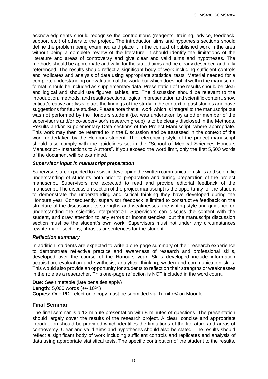acknowledgments should recognise the contributions (reagents, training, advice, feedback, support etc.) of others to the project. The introduction aims and hypothesis sections should define the problem being examined and place it in the context of published work in the area without being a complete review of the literature. It should identify the limitations of the literature and areas of controversy and give clear and valid aims and hypotheses. The methods should be appropriate and valid for the stated aims and be clearly described and fully referenced. The results should reflect a significant body of work including sufficient controls and replicates and analysis of data using appropriate statistical tests. Material needed for a complete understanding or evaluation of the work, but which does not fit well in the manuscript format, should be included as supplementary data. Presentation of the results should be clear and logical and should use figures, tables, etc. The discussion should be relevant to the introduction, methods, and results sections, logical in presentation and scientific content, show critical/creative analysis, place the findings of the study in the context of past studies and have suggestions for future studies. Please note that all work which is integral to the manuscript but was not performed by the Honours student (i.e. was undertaken by another member of the supervisor's and/or co-supervisor's research group) is to be clearly disclosed in the Methods, Results and/or Supplementary Data sections of the Project Manuscript, where appropriate. This work may then be referred to in the Discussion and be assessed in the context of the work undertaken by the Honours student. The referencing style of the project manuscript should also comply with the guidelines set in the "School of Medical Sciences Honours Manuscript - Instructions to Authors". If you exceed the word limit, only the first 5,500 words of the document will be examined.

## *Supervisor input in manuscript preparation*

Supervisors are expected to assist in developing the written communication skills and scientific understanding of students both prior to preparation and during preparation of the project manuscript. Supervisors are expected to read and provide editorial feedback of the manuscript. The discussion section of the project manuscript is the opportunity for the student to demonstrate the understanding and critical thinking they have developed during the Honours year. Consequently, supervisor feedback is limited to constructive feedback on the structure of the discussion, its strengths and weaknesses, the writing style and guidance on understanding the scientific interpretation. Supervisors can discuss the content with the student, and draw attention to any errors or inconsistencies, but the manuscript discussion section must be the student's own work. Supervisors must not under any circumstances rewrite major sections, phrases or sentences for the student.

### *Reflection summary*

In addition, students are expected to write a one-page summary of their research experience to demonstrate reflective practice and awareness of research and professional skills, developed over the course of the Honours year. Skills developed include information acquisition, evaluation and synthesis, analytical thinking, written and communication skills. This would also provide an opportunity for students to reflect on their strengths or weaknesses in the role as a researcher. This one-page reflection is NOT included in the word count.

**Due:** See timetable (late penalties apply) **Length:** 5,000 words (+/- 10%) **Copies:** One PDF electronic copy must be submitted via Turnitin© on Moodle.

# <span id="page-10-0"></span>**Final Seminar**

The final seminar is a 12-minute presentation with 8 minutes of questions. The presentation should largely cover the results of the research project. A clear, concise and appropriate introduction should be provided which identifies the limitations of the literature and areas of controversy. Clear and valid aims and hypotheses should also be stated. The results should reflect a significant body of work including sufficient controls and replicates and analysis of data using appropriate statistical tests. The specific contribution of the student to the results,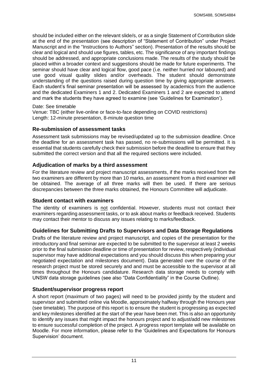should be included either on the relevant slide/s, or as a single Statement of Contribution slide at the end of the presentation (see description of "Statement of Contribution" under Project Manuscript and in the "Instructions to Authors" section). Presentation of the results should be clear and logical and should use figures, tables, etc. The significance of any important findings should be addressed, and appropriate conclusions made. The results of the study should be placed within a broader context and suggestions should be made for future experiments. The seminar should have clear and logical flow, good pace (i.e. neither hurried nor laboured) and use good visual quality slides and/or overheads. The student should demonstrate understanding of the questions raised during question time by giving appropriate answers. Each student's final seminar presentation will be assessed by academics from the audience and the dedicated Examiners 1 and 2. Dedicated Examiners 1 and 2 are expected to attend and mark the students they have agreed to examine (see 'Guidelines for Examination').

Date: See timetable

Venue: TBC (either live-online or face-to-face depending on COVID restrictions) Length: 12-minute presentation, 8-minute question time

# <span id="page-11-0"></span>**Re-submission of assessment tasks**

Assessment task submissions may be revised/updated up to the submission deadline. Once the deadline for an assessment task has passed, no re-submissions will be permitted. It is essential that students carefully check their submission before the deadline to ensure that they submitted the correct version and that all the required sections were included.

# <span id="page-11-1"></span>**Adjudication of marks by a third assessment**

For the literature review and project manuscript assessments, if the marks received from the two examiners are different by more than 10 marks, an assessment from a third examiner will be obtained. The average of all three marks will then be used. If there are serious discrepancies between the three marks obtained, the Honours Committee will adjudicate.

# <span id="page-11-2"></span>**Student contact with examiners**

The identity of examiners is not confidential. However, students must not contact their examiners regarding assessment tasks, or to ask about marks or feedback received. Students may contact their mentor to discuss any issues relating to marks/feedback.

# <span id="page-11-3"></span>**Guidelines for Submitting Drafts to Supervisors and Data Storage Regulations**

Drafts of the literature review and project manuscript, and copies of the presentation for the introductory and final seminar are expected to be submitted to the supervisor at least 2 weeks prior to the final submission deadline or time of presentation for review, respectively (individual supervisor may have additional expectations and you should discuss this when preparing your negotiated expectation and milestones document). Data generated over the course of the research project must be stored securely and and must be accessible to the supervisor at all times throughout the Honours candidature. Research data storage needs to comply with UNSW data storage guidelines (see also "Data Confidentiality" in the Course Outline).

# <span id="page-11-4"></span>**Student/supervisor progress report**

A short report (maximum of two pages) will need to be provided jointly by the student and supervisor and submitted online via Moodle, approximately halfway through the Honours year (see timetable). The purpose of this report is to ensure the student is progressing as expected and key milestones identified at the start of the year have been met. This is also an opportunity to identify any issues that might impact the honours project and to adjust/add new milestones to ensure successful completion of the project. A progress report template will be available on Moodle. For more information, please refer to the 'Guidelines and Expectations for Honours Supervision' document.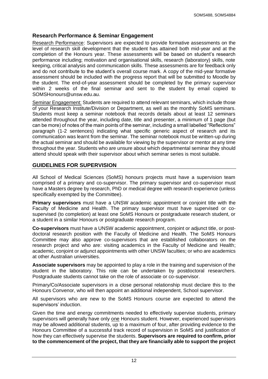# <span id="page-12-0"></span>**Research Performance & Seminar Engagement**

Research Performance: Supervisors are expected to provide formative assessments on the level of research skill development that the student has attained both mid-year and at the completion of the Honours year. These assessments will be based on student's research performance including; motivation and organisational skills, research (laboratory) skills, note keeping, critical analysis and communication skills. These assessments are for feedback only and do not contribute to the student's overall course mark. A copy of the mid-year formative assessment should be included with the progress report that will be submitted to Moodle by the student. The end-of-year assessment should be completed by the primary supervisor within 2 weeks of the final seminar and sent to the student by email copied to SOMSHonours@unsw.edu.au.

Seminar Engagement: Students are required to attend relevant seminars, which include those of your Research Institute/Division or Department, as well as the monthly SoMS seminars. Students must keep a seminar notebook that records details about at least 12 seminars attended throughout the year, including date, title and presenter, a minimum of 1 page (but can be more) of notes of the main points of the seminar, including a small labelled "Reflections" paragraph (1-2 sentences) indicating what specific generic aspect of research and its communication was learnt from the seminar. The seminar notebook must be written-up during the actual seminar and should be available for viewing by the supervisor or mentor at any time throughout the year. Students who are unsure about which departmental seminar they should attend should speak with their supervisor about which seminar series is most suitable.

# <span id="page-12-1"></span>**GUIDELINES FOR SUPERVISION**

All School of Medical Sciences (SoMS) honours projects must have a supervision team comprised of a primary and co-supervisor. The primary supervisor and co-supervisor must have a Masters degree by research, PhD or medical degree with research experience (unless specifically exempted by the Committee).

**Primary supervisors** must have a UNSW academic appointment or conjoint title with the Faculty of Medicine and Health. The primary supervisor must have supervised or cosupervised (to completion) at least one SoMS Honours or postgraduate research student, or a student in a similar Honours or postgraduate research program.

**Co-supervisors** must have a UNSW academic appointment, conjoint or adjunct title, or postdoctoral research position with the Faculty of Medicine and Health. The SoMS Honours Committee may also approve co-supervisors that are established collaborators on the research project and who are: visiting academics in the Faculty of Medicine and Health; academic, conjoint or adjunct appointments with other UNSW faculties; or who are academics at other Australian universities.

**Associate supervisors** may be appointed to play a role in the training and supervision of the student in the laboratory. This role can be undertaken by postdoctoral researchers. Postgraduate students cannot take on the role of associate or co-supervisor.

Primary/Co/Associate supervisors in a close personal relationship must declare this to the Honours Convenor, who will then appoint an additional independent, School supervisor.

All supervisors who are new to the SoMS Honours course are expected to attend the supervisors' induction.

Given the time and energy commitments needed to effectively supervise students, primary supervisors will generally have only one Honours student. However, experienced supervisors may be allowed additional students, up to a maximum of four, after providing evidence to the Honours Committee of a successful track record of supervision in SoMS and justification of how they can effectively supervise the students. **Supervisors are required to confirm, prior to the commencement of the project, that they are financially able to support the project**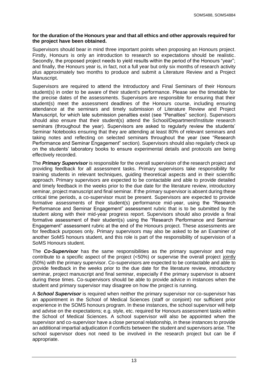#### **for the duration of the Honours year and that all ethics and other approvals required for the project have been obtained.**

Supervisors should bear in mind three important points when proposing an Honours project. Firstly, Honours is only an introduction to research so expectations should be realistic. Secondly, the proposed project needs to yield results within the period of the Honours "year"; and finally, the Honours year is, in fact, not a full year but only six months of research activity plus approximately two months to produce and submit a Literature Review and a Project Manuscript.

Supervisors are required to attend the Introductory and Final Seminars of their Honours student(s) in order to be aware of their student's performance. Please see the timetable for the precise dates of the assessments. Supervisors are responsible for ensuring that their student(s) meet the assessment deadlines of the Honours course, including ensuring attendance at the seminars and timely submission of Literature Review and Project Manuscript, for which late submission penalties exist (see "Penalties" section). Supervisors should also ensure that their student(s) attend the School/Department/Institute research seminars (throughout the year). Supervisors are asked to regularly review the students' Seminar Notebooks ensuring that they are attending at least 80% of relevant seminars and taking notes and reflecting on selected seminars throughout the year (see "Research Performance and Seminar Engagement" section). Supervisors should also regularly check up on the students' laboratory books to ensure experimental details and protocols are being effectively recorded.

The *Primary Supervisor* is responsible for the overall supervision of the research project and providing feedback for all assessment tasks. Primary supervisors take responsibility for training students in relevant techniques, guiding theoretical aspects and in their scientific approach. Primary supervisors are expected to be contactable and able to provide detailed and timely feedback in the weeks prior to the due date for the literature review, introductory seminar, project manuscript and final seminar. If the primary supervisor is absent during these critical time periods, a co-supervisor must be present. Supervisors are expected to provide formative assessments of their student(s) performance mid-year, using the "Research Performance and Seminar Engagement" assessment rubric that is to be submitted by the student along with their mid-year progress report. Supervisors should also provide a final formative assessment of their student(s) using the "Research Performance and Seminar Engagement" assessment rubric at the end of the Honours project. These assessments are for feedback purposes only. Primary supervisors may also be asked to be an Examiner of another SoMS honours student, and this role is part of the responsibility of supervision of a SoMS Honours student.

The *Co-Supervisor* has the same responsibilities as the primary supervisor and may contribute to a specific aspect of the project (<50%) or supervise the overall project jointly (50%) with the primary supervisor. Co-supervisors are expected to be contactable and able to provide feedback in the weeks prior to the due date for the literature review, introductory seminar, project manuscript and final seminar, especially if the primary supervisor is absent during these times. Co-supervisors should be able to provide advice in instances when the student and primary supervisor may disagree on how the project is running.

A *School Supervisor* is required when neither the primary supervisor nor co-supervisor has an appointment in the School of Medical Sciences (staff or conjoint) nor sufficient prior experience in the SOMS honours program. In these instances, the school supervisor will help and advise on the expectations; e.g. style, etc. required for Honours assessment tasks within the School of Medical Sciences. A school supervisor will also be appointed when the supervisor and co-supervisor have a close personal relationship, in these instances to provide an additional impartial adjudication if conflicts between the student and supervisors arise. The school supervisor does not need to be involved in the research project but can be if appropriate.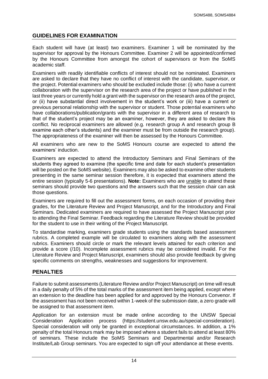# <span id="page-14-0"></span>**GUIDELINES FOR EXAMINATION**

Each student will have (at least) two examiners. Examiner 1 will be nominated by the supervisor for approval by the Honours Committee. Examiner 2 will be appointed/confirmed by the Honours Committee from amongst the cohort of supervisors or from the SoMS academic staff.

Examiners with readily identifiable conflicts of interest should not be nominated. Examiners are asked to declare that they have no conflict of interest with the candidate, supervisor, or the project. Potential examiners who should be excluded include those: (i) who have a current collaboration with the supervisor on the research area of the project or have published in the last three years or currently hold a grant with the supervisor on the research area of the project, or (ii) have substantial direct involvement in the student's work or (iii) have a current or previous personal relationship with the supervisor or student. Those potential examiners who have collaborations/publication/grants with the supervisor in a different area of research to that of the student's project may be an examiner, however, they are asked to declare this conflict. No reciprocal examiners are allowed (e.g. research group A and research group B examine each other's students) and the examiner must be from outside the research group). The appropriateness of the examiner will then be assessed by the Honours Committee.

All examiners who are new to the SoMS Honours course are expected to attend the examiners' induction.

Examiners are expected to attend the Introductory Seminars and Final Seminars of the students they agreed to examine (the specific time and date for each student's presentation will be posted on the SoMS website). Examiners may also be asked to examine other students presenting in the same seminar session therefore, it is expected that examiners attend the entire session (typically 5-6 presentations). **Note:** Examiners who are unable to attend these seminars should provide two questions and the answers such that the session chair can ask those questions.

Examiners are required to fill out the assessment forms, on each occasion of providing their grades, for the Literature Review and Project Manuscript, and for the Introductory and Final Seminars. Dedicated examiners are required to have assessed the Project Manuscript prior to attending the Final Seminar. Feedback regarding the Literature Review should be provided for the student to use in their writing of the Project Manuscript.

To standardise marking, examiners grade students using the standards based assessment rubrics. A completed example will be circulated to examiners along with the assessment rubrics. Examiners should circle or mark the relevant levels attained for each criterion and provide a score (/10). Incomplete assessment rubrics may be considered invalid. For the Literature Review and Project Manuscript, examiners should also provide feedback by giving specific comments on strengths, weaknesses and suggestions for improvement.

# <span id="page-14-1"></span>**PENALTIES**

Failure to submit assessments (Literature Review and/or Project Manuscript) on time will result in a daily penalty of 5% of the total marks of the assessment item being applied, except where an extension to the deadline has been applied for and approved by the Honours Convenor. If the assessment has not been received within 1-week of the submission date, a zero grade will be assigned to that assessment item.

Application for an extension must be made online according to the UNSW Special Consideration Application process [\(https://student.unsw.edu.au/special-consideration\)](https://student.unsw.edu.au/special-consideration). Special consideration will only be granted in exceptional circumstances. In addition, a 1% penalty of the total Honours mark may be imposed where a student fails to attend at least 80% of seminars. These include the SoMS Seminars and Departmental and/or Research Institute/Lab Group seminars. You are expected to sign off your attendance at these events.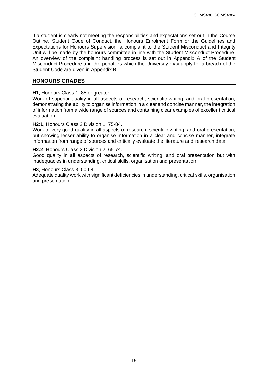If a student is clearly not meeting the responsibilities and expectations set out in the Course Outline, Student Code of Conduct, the Honours Enrolment Form or the Guidelines and Expectations for Honours Supervision, a complaint to the Student Misconduct and Integrity Unit will be made by the honours committee in line with the Student Misconduct Procedure. An overview of the complaint handling process is set out in Appendix A of the Student Misconduct Procedure and the penalties which the University may apply for a breach of the Student Code are given in Appendix B.

## <span id="page-15-0"></span>**HONOURS GRADES**

## **H1**, Honours Class 1, 85 or greater.

Work of superior quality in all aspects of research, scientific writing, and oral presentation, demonstrating the ability to organise information in a clear and concise manner, the integration of information from a wide range of sources and containing clear examples of excellent critical evaluation.

#### **H2:1**, Honours Class 2 Division 1, 75-84.

Work of very good quality in all aspects of research, scientific writing, and oral presentation, but showing lesser ability to organise information in a clear and concise manner, integrate information from range of sources and critically evaluate the literature and research data.

#### **H2:2**, Honours Class 2 Division 2, 65-74.

Good quality in all aspects of research, scientific writing, and oral presentation but with inadequacies in understanding, critical skills, organisation and presentation.

#### **H3**, Honours Class 3, 50-64.

Adequate quality work with significant deficiencies in understanding, critical skills, organisation and presentation.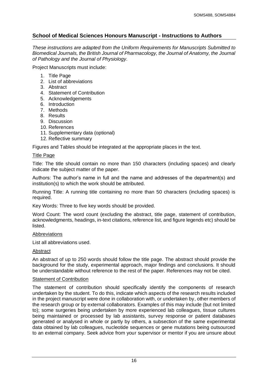# <span id="page-16-0"></span>**School of Medical Sciences Honours Manuscript - Instructions to Authors**

*These instructions are adapted from the Uniform Requirements for Manuscripts Submitted to Biomedical Journals, the British Journal of Pharmacology, the Journal of Anatomy, the Journal of Pathology and the Journal of Physiology.*

Project Manuscripts must include:

- 1. Title Page
- 2. List of abbreviations
- 3. Abstract
- 4. Statement of Contribution
- 5. Acknowledgements
- 6. Introduction
- 7. Methods
- 8. Results
- 9. Discussion
- 10. References
- 11. Supplementary data (optional)
- 12. Reflective summary

Figures and Tables should be integrated at the appropriate places in the text.

## Title Page

Title: The title should contain no more than 150 characters (including spaces) and clearly indicate the subject matter of the paper.

Authors: The author's name in full and the name and addresses of the department(s) and institution(s) to which the work should be attributed.

Running Title: A running title containing no more than 50 characters (including spaces) is required.

Key Words: Three to five key words should be provided.

Word Count: The word count (excluding the abstract, title page, statement of contribution, acknowledgments, headings, in-text citations, reference list, and figure legends etc) should be listed.

### Abbreviations

List all abbreviations used.

### Abstract

An abstract of up to 250 words should follow the title page. The abstract should provide the background for the study, experimental approach, major findings and conclusions. It should be understandable without reference to the rest of the paper. References may not be cited.

### Statement of Contribution

The statement of contribution should specifically identify the components of research undertaken by the student. To do this, indicate which aspects of the research results included in the project manuscript were done in collaboration with, or undertaken by, other members of the research group or by external collaborators. Examples of this may include (but not limited to); some surgeries being undertaken by more experienced lab colleagues, tissue cultures being maintained or processed by lab assistants, survey response or patient databases generated or analysed in whole or partly by others, a subsection of the same experimental data obtained by lab colleagues, nucleotide sequences or gene mutations being outsourced to an external company. Seek advice from your supervisor or mentor if you are unsure about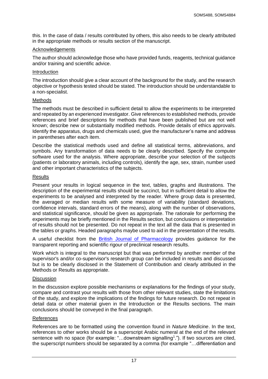this. In the case of data / results contributed by others, this also needs to be clearly attributed in the appropriate methods or results section of the manuscript.

## Acknowledgements

The author should acknowledge those who have provided funds, reagents, technical guidance and/or training and scientific advice.

#### Introduction

The introduction should give a clear account of the background for the study, and the research objective or hypothesis tested should be stated. The introduction should be understandable to a non-specialist.

### Methods

The methods must be described in sufficient detail to allow the experiments to be interpreted and repeated by an experienced investigator. Give references to established methods, provide references and brief descriptions for methods that have been published but are not well known; describe new or substantially modified methods. Provide details of ethics approvals. Identify the apparatus, drugs and chemicals used, give the manufacturer's name and address in parentheses after each item.

Describe the statistical methods used and define all statistical terms, abbreviations, and symbols. Any transformation of data needs to be clearly described. Specify the computer software used for the analysis. Where appropriate, describe your selection of the subjects (patients or laboratory animals, including controls), identify the age, sex, strain, number used and other important characteristics of the subjects.

## **Results**

Present your results in logical sequence in the text, tables, graphs and illustrations. The description of the experimental results should be succinct, but in sufficient detail to allow the experiments to be analysed and interpreted by the reader. Where group data is presented, the averaged or median results with some measure of variability (standard deviations, confidence intervals, standard errors of the means), along with the number of observations, and statistical significance, should be given as appropriate. The rationale for performing the experiments may be briefly mentioned in the Results section, but conclusions or interpretation of results should not be presented. Do not repeat in the text all the data that is presented in the tables or graphs. Headed paragraphs maybe used to aid in the presentation of the results.

A useful checklist from the [British Journal of Pharmacology](https://bpspubs.onlinelibrary.wiley.com/doi/epdf/10.1111/bph.14207) provides guidance for the transparent reporting and scientific rigour of preclinical research results.

Work which is integral to the manuscript but that was performed by another member of the supervisor's and/or co-supervisor's research group can be included in results and discussed but is to be clearly disclosed in the Statement of Contribution and clearly attributed in the Methods or Results as appropriate.

### **Discussion**

In the discussion explore possible mechanisms or explanations for the findings of your study, compare and contrast your results with those from other relevant studies, state the limitations of the study, and explore the implications of the findings for future research. Do not repeat in detail data or other material given in the Introduction or the Results sections. The main conclusions should be conveyed in the final paragraph.

### References

References are to be formatted using the convention found in *Nature Medicine*. In the text, references to other works should be a superscript Arabic numeral at the end of the relevant sentence with no space (for example: "...downstream signalling<sup>1</sup>."). If two sources are cited, the superscript numbers should be separated by a comma (for example "…differentiation and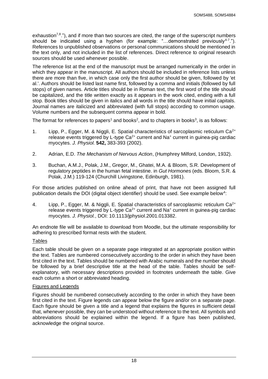exhaustion<sup>7,8</sup>."), and if more than two sources are cited, the range of the superscript numbers should be indicated using a hyphen (for example: "...demonstrated previously<sup>4-7</sup>."). References to unpublished observations or personal communications should be mentioned in the text only, and not included in the list of references. Direct reference to original research sources should be used whenever possible.

The reference list at the end of the manuscript must be arranged numerically in the order in which they appear in the manuscript. All authors should be included in reference lists unless there are more than five, in which case only the first author should be given, followed by 'et al.'. Authors should be listed last name first, followed by a comma and initials (followed by full stops) of given names. Article titles should be in Roman text, the first word of the title should be capitalized, and the title written exactly as it appears in the work cited, ending with a full stop. Book titles should be given in italics and all words in the title should have initial capitals. Journal names are italicized and abbreviated (with full stops) according to common usage. Volume numbers and the subsequent comma appear in bold.

The format for references to papers<sup>1</sup> and books<sup>2</sup>, and to chapters in books<sup>3</sup>, is as follows:

- 1. Lipp, P., Egger, M. & Niggli, E. Spatial characteristics of sarcoplasmic reticulum  $Ca^{2+}$ release events triggered by L-type  $Ca<sup>2+</sup>$  current and Na<sup>+</sup> current in guinea-pig cardiac myocytes. *J. Physiol.* **542,** 383-393 (2002).
- 2. Adrian, E.D. *The Mechanism of Nervous Action*, (Humphrey Milford, London, 1932).
- 3. Buchan, A.M.J., Polak, J.M., Gregor, M., Ghatei, M.A. & Bloom, S.R. Development of regulatory peptides in the human fetal intestine. in *Gut Hormones* (eds. Bloom, S.R. & Polak, J.M.) 119-124 (Churchill Livingstone, Edinburgh, 1981).

For those articles published on online ahead of print, that have not been assigned full publication details the DOI (digital object identifier) should be used. See example below<sup>4</sup>:

4. Lipp, P., Egger, M. & Niggli, E. Spatial characteristics of sarcoplasmic reticulum  $Ca^{2+}$ release events triggered by L-type  $Ca^{2+}$  current and Na<sup>+</sup> current in guinea-pig cardiac myocytes. *J. Physiol.*, DOI: 10.1113/jphysiol.2001.013382.

An endnote file will be available to download from Moodle, but the ultimate responsibility for adhering to prescribed format rests with the student.

# **Tables**

Each table should be given on a separate page integrated at an appropriate position within the text. Tables are numbered consecutively according to the order in which they have been first cited in the text. Tables should be numbered with Arabic numerals and the number should be followed by a brief descriptive title at the head of the table. Tables should be selfexplanatory, with necessary descriptions provided in footnotes underneath the table. Give each column a short or abbreviated heading.

### Figures and Legends

Figures should be numbered consecutively according to the order in which they have been first cited in the text. Figure legends can appear below the figure and/or on a separate page. Each figure should be given a title and a legend that explains the figures in sufficient detail that, whenever possible, they can be understood without reference to the text. All symbols and abbreviations should be explained within the legend. If a figure has been published, acknowledge the original source.